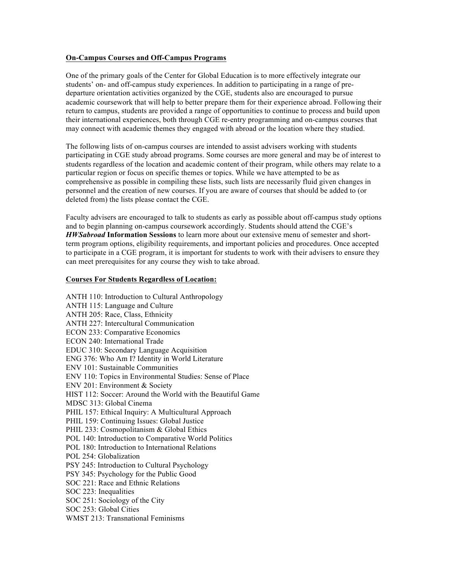### **On-Campus Courses and Off-Campus Programs**

One of the primary goals of the Center for Global Education is to more effectively integrate our students' on- and off-campus study experiences. In addition to participating in a range of predeparture orientation activities organized by the CGE, students also are encouraged to pursue academic coursework that will help to better prepare them for their experience abroad. Following their return to campus, students are provided a range of opportunities to continue to process and build upon their international experiences, both through CGE re-entry programming and on-campus courses that may connect with academic themes they engaged with abroad or the location where they studied.

The following lists of on-campus courses are intended to assist advisers working with students participating in CGE study abroad programs. Some courses are more general and may be of interest to students regardless of the location and academic content of their program, while others may relate to a particular region or focus on specific themes or topics. While we have attempted to be as comprehensive as possible in compiling these lists, such lists are necessarily fluid given changes in personnel and the creation of new courses. If you are aware of courses that should be added to (or deleted from) the lists please contact the CGE.

Faculty advisers are encouraged to talk to students as early as possible about off-campus study options and to begin planning on-campus coursework accordingly. Students should attend the CGE's *HWSabroad* **Information Sessions** to learn more about our extensive menu of semester and shortterm program options, eligibility requirements, and important policies and procedures. Once accepted to participate in a CGE program, it is important for students to work with their advisers to ensure they can meet prerequisites for any course they wish to take abroad.

#### **Courses For Students Regardless of Location:**

ANTH 110: Introduction to Cultural Anthropology ANTH 115: Language and Culture ANTH 205: Race, Class, Ethnicity ANTH 227: Intercultural Communication ECON 233: Comparative Economics ECON 240: International Trade EDUC 310: Secondary Language Acquisition ENG 376: Who Am I? Identity in World Literature ENV 101: Sustainable Communities ENV 110: Topics in Environmental Studies: Sense of Place ENV 201: Environment & Society HIST 112: Soccer: Around the World with the Beautiful Game MDSC 313: Global Cinema PHIL 157: Ethical Inquiry: A Multicultural Approach PHIL 159: Continuing Issues: Global Justice PHIL 233: Cosmopolitanism & Global Ethics POL 140: Introduction to Comparative World Politics POL 180: Introduction to International Relations POL 254: Globalization PSY 245: Introduction to Cultural Psychology PSY 345: Psychology for the Public Good SOC 221: Race and Ethnic Relations SOC 223: Inequalities SOC 251: Sociology of the City SOC 253: Global Cities WMST 213: Transnational Feminisms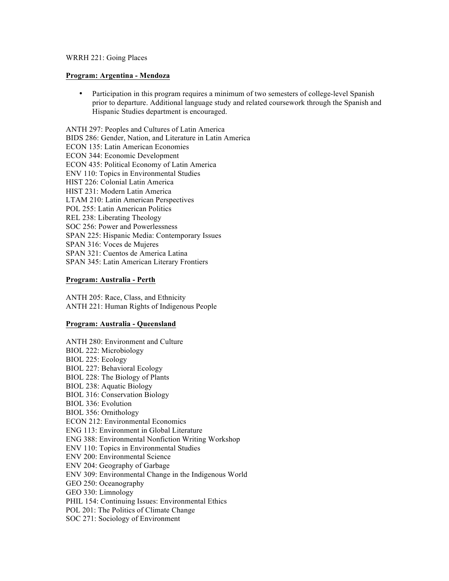#### WRRH 221: Going Places

#### **Program: Argentina - Mendoza**

• Participation in this program requires a minimum of two semesters of college-level Spanish prior to departure. Additional language study and related coursework through the Spanish and Hispanic Studies department is encouraged.

ANTH 297: Peoples and Cultures of Latin America BIDS 286: Gender, Nation, and Literature in Latin America ECON 135: Latin American Economies ECON 344: Economic Development ECON 435: Political Economy of Latin America ENV 110: Topics in Environmental Studies HIST 226: Colonial Latin America HIST 231: Modern Latin America LTAM 210: Latin American Perspectives POL 255: Latin American Politics REL 238: Liberating Theology SOC 256: Power and Powerlessness SPAN 225: Hispanic Media: Contemporary Issues SPAN 316: Voces de Mujeres SPAN 321: Cuentos de America Latina SPAN 345: Latin American Literary Frontiers

#### **Program: Australia - Perth**

ANTH 205: Race, Class, and Ethnicity ANTH 221: Human Rights of Indigenous People

#### **Program: Australia - Queensland**

ANTH 280: Environment and Culture BIOL 222: Microbiology BIOL 225: Ecology BIOL 227: Behavioral Ecology BIOL 228: The Biology of Plants BIOL 238: Aquatic Biology BIOL 316: Conservation Biology BIOL 336: Evolution BIOL 356: Ornithology ECON 212: Environmental Economics ENG 113: Environment in Global Literature ENG 388: Environmental Nonfiction Writing Workshop ENV 110: Topics in Environmental Studies ENV 200: Environmental Science ENV 204: Geography of Garbage ENV 309: Environmental Change in the Indigenous World GEO 250: Oceanography GEO 330: Limnology PHIL 154: Continuing Issues: Environmental Ethics POL 201: The Politics of Climate Change SOC 271: Sociology of Environment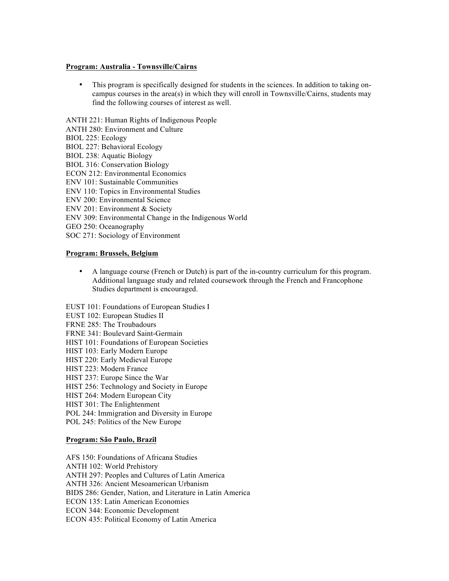#### **Program: Australia - Townsville/Cairns**

• This program is specifically designed for students in the sciences. In addition to taking oncampus courses in the area(s) in which they will enroll in Townsville/Cairns, students may find the following courses of interest as well.

ANTH 221: Human Rights of Indigenous People

- ANTH 280: Environment and Culture
- BIOL 225: Ecology
- BIOL 227: Behavioral Ecology
- BIOL 238: Aquatic Biology
- BIOL 316: Conservation Biology
- ECON 212: Environmental Economics
- ENV 101: Sustainable Communities
- ENV 110: Topics in Environmental Studies
- ENV 200: Environmental Science
- ENV 201: Environment & Society
- ENV 309: Environmental Change in the Indigenous World
- GEO 250: Oceanography
- SOC 271: Sociology of Environment

## **Program: Brussels, Belgium**

- A language course (French or Dutch) is part of the in-country curriculum for this program. Additional language study and related coursework through the French and Francophone Studies department is encouraged.
- EUST 101: Foundations of European Studies I
- EUST 102: European Studies II
- FRNE 285: The Troubadours
- FRNE 341: Boulevard Saint-Germain
- HIST 101: Foundations of European Societies
- HIST 103: Early Modern Europe
- HIST 220: Early Medieval Europe
- HIST 223: Modern France
- HIST 237: Europe Since the War
- HIST 256: Technology and Society in Europe
- HIST 264: Modern European City
- HIST 301: The Enlightenment
- POL 244: Immigration and Diversity in Europe
- POL 245: Politics of the New Europe

### **Program: São Paulo, Brazil**

- AFS 150: Foundations of Africana Studies
- ANTH 102: World Prehistory
- ANTH 297: Peoples and Cultures of Latin America
- ANTH 326: Ancient Mesoamerican Urbanism
- BIDS 286: Gender, Nation, and Literature in Latin America
- ECON 135: Latin American Economies
- ECON 344: Economic Development
- ECON 435: Political Economy of Latin America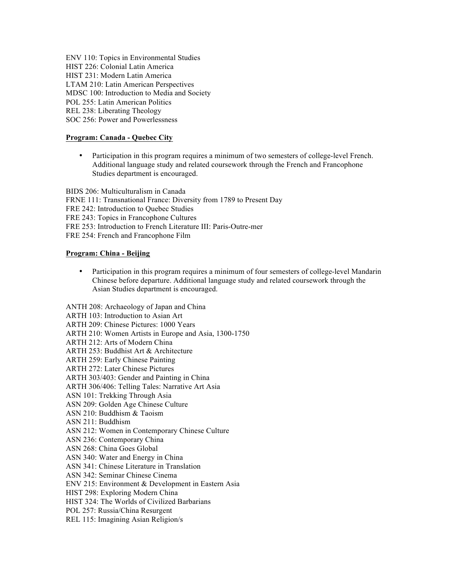ENV 110: Topics in Environmental Studies HIST 226: Colonial Latin America HIST 231: Modern Latin America LTAM 210: Latin American Perspectives MDSC 100: Introduction to Media and Society POL 255: Latin American Politics REL 238: Liberating Theology

SOC 256: Power and Powerlessness

## **Program: Canada - Quebec City**

• Participation in this program requires a minimum of two semesters of college-level French. Additional language study and related coursework through the French and Francophone Studies department is encouraged.

BIDS 206: Multiculturalism in Canada FRNE 111: Transnational France: Diversity from 1789 to Present Day FRE 242: Introduction to Quebec Studies FRE 243: Topics in Francophone Cultures FRE 253: Introduction to French Literature III: Paris-Outre-mer FRE 254: French and Francophone Film

#### **Program: China - Beijing**

• Participation in this program requires a minimum of four semesters of college-level Mandarin Chinese before departure. Additional language study and related coursework through the Asian Studies department is encouraged.

ANTH 208: Archaeology of Japan and China ARTH 103: Introduction to Asian Art ARTH 209: Chinese Pictures: 1000 Years ARTH 210: Women Artists in Europe and Asia, 1300-1750 ARTH 212: Arts of Modern China ARTH 253: Buddhist Art & Architecture ARTH 259: Early Chinese Painting ARTH 272: Later Chinese Pictures ARTH 303/403: Gender and Painting in China ARTH 306/406: Telling Tales: Narrative Art Asia ASN 101: Trekking Through Asia ASN 209: Golden Age Chinese Culture ASN 210: Buddhism & Taoism ASN 211: Buddhism ASN 212: Women in Contemporary Chinese Culture ASN 236: Contemporary China ASN 268: China Goes Global ASN 340: Water and Energy in China ASN 341: Chinese Literature in Translation ASN 342: Seminar Chinese Cinema ENV 215: Environment & Development in Eastern Asia HIST 298: Exploring Modern China HIST 324: The Worlds of Civilized Barbarians POL 257: Russia/China Resurgent REL 115: Imagining Asian Religion/s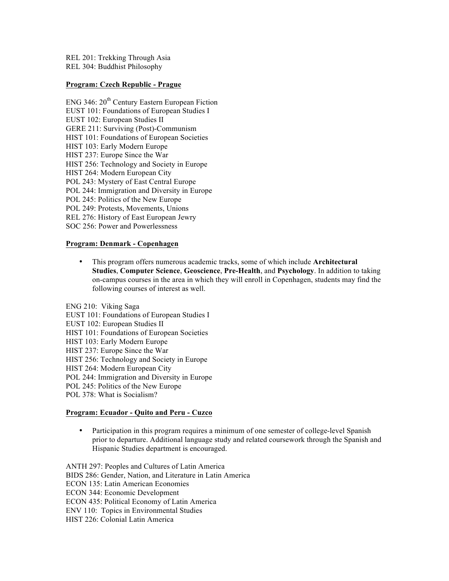REL 201: Trekking Through Asia REL 304: Buddhist Philosophy

### **Program: Czech Republic - Prague**

- ENG 346:  $20<sup>th</sup>$  Century Eastern European Fiction
- EUST 101: Foundations of European Studies I
- EUST 102: European Studies II
- GERE 211: Surviving (Post)-Communism
- HIST 101: Foundations of European Societies
- HIST 103: Early Modern Europe
- HIST 237: Europe Since the War
- HIST 256: Technology and Society in Europe
- HIST 264: Modern European City
- POL 243: Mystery of East Central Europe
- POL 244: Immigration and Diversity in Europe
- POL 245: Politics of the New Europe
- POL 249: Protests, Movements, Unions
- REL 276: History of East European Jewry
- SOC 256: Power and Powerlessness

#### **Program: Denmark - Copenhagen**

• This program offers numerous academic tracks, some of which include **Architectural Studies**, **Computer Science**, **Geoscience**, **Pre-Health**, and **Psychology**. In addition to taking on-campus courses in the area in which they will enroll in Copenhagen, students may find the following courses of interest as well.

ENG 210: Viking Saga

- EUST 101: Foundations of European Studies I
- EUST 102: European Studies II
- HIST 101: Foundations of European Societies
- HIST 103: Early Modern Europe
- HIST 237: Europe Since the War
- HIST 256: Technology and Society in Europe
- HIST 264: Modern European City
- POL 244: Immigration and Diversity in Europe
- POL 245: Politics of the New Europe
- POL 378: What is Socialism?

#### **Program: Ecuador - Quito and Peru - Cuzco**

• Participation in this program requires a minimum of one semester of college-level Spanish prior to departure. Additional language study and related coursework through the Spanish and Hispanic Studies department is encouraged.

ANTH 297: Peoples and Cultures of Latin America BIDS 286: Gender, Nation, and Literature in Latin America ECON 135: Latin American Economies ECON 344: Economic Development ECON 435: Political Economy of Latin America ENV 110: Topics in Environmental Studies HIST 226: Colonial Latin America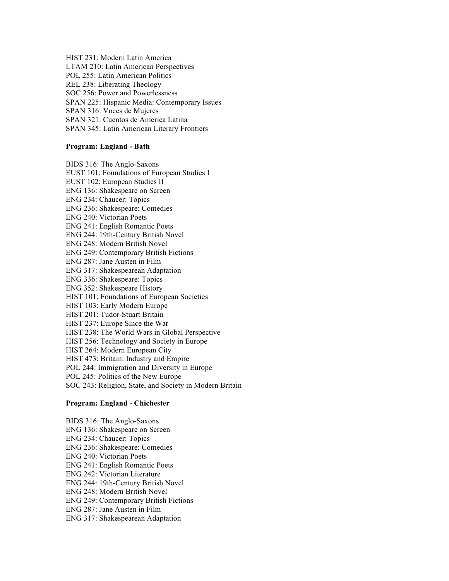HIST 231: Modern Latin America LTAM 210: Latin American Perspectives POL 255: Latin American Politics REL 238: Liberating Theology SOC 256: Power and Powerlessness SPAN 225: Hispanic Media: Contemporary Issues SPAN 316: Voces de Mujeres SPAN 321: Cuentos de America Latina SPAN 345: Latin American Literary Frontiers

### **Program: England - Bath**

BIDS 316: The Anglo-Saxons EUST 101: Foundations of European Studies I EUST 102: European Studies II ENG 136: Shakespeare on Screen ENG 234: Chaucer: Topics ENG 236: Shakespeare: Comedies ENG 240: Victorian Poets ENG 241: English Romantic Poets ENG 244: 19th-Century British Novel ENG 248: Modern British Novel ENG 249: Contemporary British Fictions ENG 287: Jane Austen in Film ENG 317: Shakespearean Adaptation ENG 336: Shakespeare: Topics ENG 352: Shakespeare History HIST 101: Foundations of European Societies HIST 103: Early Modern Europe HIST 201: Tudor-Stuart Britain HIST 237: Europe Since the War HIST 238: The World Wars in Global Perspective HIST 256: Technology and Society in Europe HIST 264: Modern European City HIST 473: Britain: Industry and Empire POL 244: Immigration and Diversity in Europe POL 245: Politics of the New Europe SOC 243: Religion, State, and Society in Modern Britain

### **Program: England - Chichester**

BIDS 316: The Anglo-Saxons ENG 136: Shakespeare on Screen ENG 234: Chaucer: Topics ENG 236: Shakespeare: Comedies ENG 240: Victorian Poets ENG 241: English Romantic Poets ENG 242: Victorian Literature ENG 244: 19th-Century British Novel ENG 248: Modern British Novel ENG 249: Contemporary British Fictions ENG 287: Jane Austen in Film ENG 317: Shakespearean Adaptation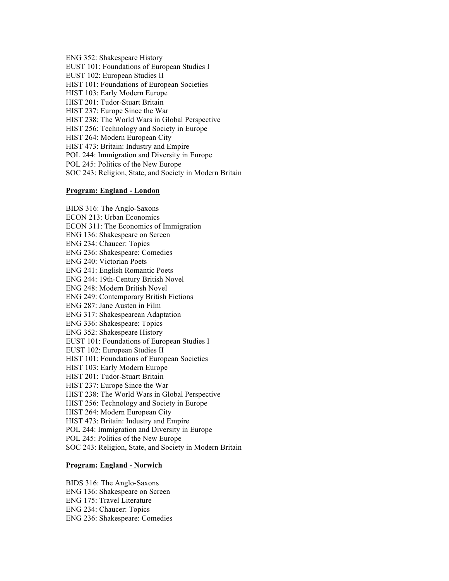ENG 352: Shakespeare History

EUST 101: Foundations of European Studies I

EUST 102: European Studies II

HIST 101: Foundations of European Societies

HIST 103: Early Modern Europe

HIST 201: Tudor-Stuart Britain

HIST 237: Europe Since the War

HIST 238: The World Wars in Global Perspective

HIST 256: Technology and Society in Europe

HIST 264: Modern European City

HIST 473: Britain: Industry and Empire

POL 244: Immigration and Diversity in Europe

POL 245: Politics of the New Europe

SOC 243: Religion, State, and Society in Modern Britain

## **Program: England - London**

BIDS 316: The Anglo-Saxons ECON 213: Urban Economics ECON 311: The Economics of Immigration ENG 136: Shakespeare on Screen ENG 234: Chaucer: Topics ENG 236: Shakespeare: Comedies ENG 240: Victorian Poets ENG 241: English Romantic Poets ENG 244: 19th-Century British Novel ENG 248: Modern British Novel ENG 249: Contemporary British Fictions ENG 287: Jane Austen in Film ENG 317: Shakespearean Adaptation ENG 336: Shakespeare: Topics ENG 352: Shakespeare History EUST 101: Foundations of European Studies I EUST 102: European Studies II HIST 101: Foundations of European Societies HIST 103: Early Modern Europe HIST 201: Tudor-Stuart Britain HIST 237: Europe Since the War HIST 238: The World Wars in Global Perspective HIST 256: Technology and Society in Europe HIST 264: Modern European City HIST 473: Britain: Industry and Empire POL 244: Immigration and Diversity in Europe POL 245: Politics of the New Europe SOC 243: Religion, State, and Society in Modern Britain

#### **Program: England - Norwich**

BIDS 316: The Anglo-Saxons ENG 136: Shakespeare on Screen ENG 175: Travel Literature ENG 234: Chaucer: Topics ENG 236: Shakespeare: Comedies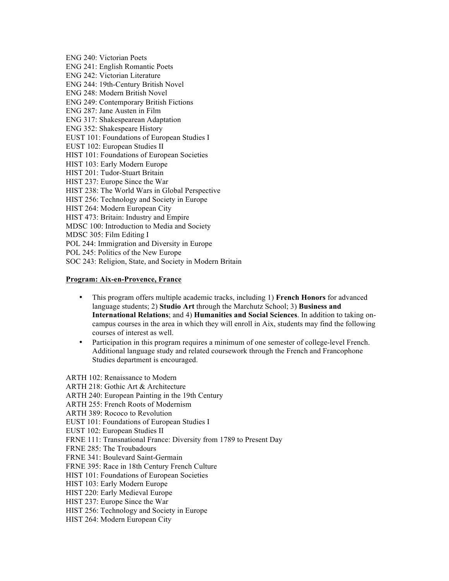ENG 240: Victorian Poets ENG 241: English Romantic Poets ENG 242: Victorian Literature ENG 244: 19th-Century British Novel ENG 248: Modern British Novel ENG 249: Contemporary British Fictions ENG 287: Jane Austen in Film ENG 317: Shakespearean Adaptation ENG 352: Shakespeare History EUST 101: Foundations of European Studies I EUST 102: European Studies II HIST 101: Foundations of European Societies HIST 103: Early Modern Europe HIST 201: Tudor-Stuart Britain HIST 237: Europe Since the War HIST 238: The World Wars in Global Perspective HIST 256: Technology and Society in Europe HIST 264: Modern European City HIST 473: Britain: Industry and Empire MDSC 100: Introduction to Media and Society MDSC 305: Film Editing I POL 244: Immigration and Diversity in Europe POL 245: Politics of the New Europe SOC 243: Religion, State, and Society in Modern Britain

#### **Program: Aix-en-Provence, France**

- This program offers multiple academic tracks, including 1) **French Honors** for advanced language students; 2) **Studio Art** through the Marchutz School; 3) **Business and International Relations**; and 4) **Humanities and Social Sciences**. In addition to taking oncampus courses in the area in which they will enroll in Aix, students may find the following courses of interest as well.
- Participation in this program requires a minimum of one semester of college-level French. Additional language study and related coursework through the French and Francophone Studies department is encouraged.

ARTH 102: Renaissance to Modern

ARTH 218: Gothic Art & Architecture

- ARTH 240: European Painting in the 19th Century
- ARTH 255: French Roots of Modernism
- ARTH 389: Rococo to Revolution
- EUST 101: Foundations of European Studies I
- EUST 102: European Studies II
- FRNE 111: Transnational France: Diversity from 1789 to Present Day
- FRNE 285: The Troubadours
- FRNE 341: Boulevard Saint-Germain
- FRNE 395: Race in 18th Century French Culture
- HIST 101: Foundations of European Societies
- HIST 103: Early Modern Europe
- HIST 220: Early Medieval Europe
- HIST 237: Europe Since the War
- HIST 256: Technology and Society in Europe
- HIST 264: Modern European City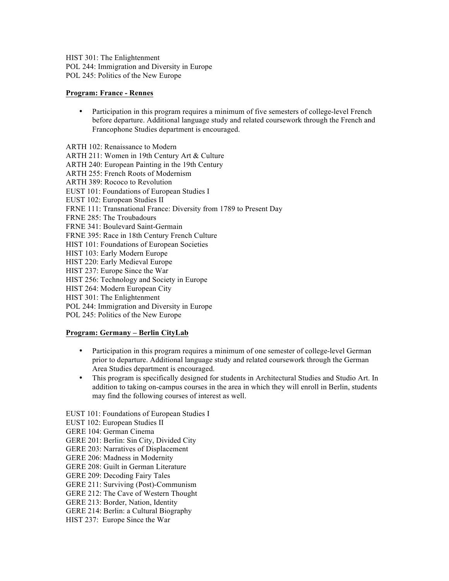HIST 301: The Enlightenment POL 244: Immigration and Diversity in Europe POL 245: Politics of the New Europe

## **Program: France - Rennes**

- Participation in this program requires a minimum of five semesters of college-level French before departure. Additional language study and related coursework through the French and Francophone Studies department is encouraged.
- ARTH 102: Renaissance to Modern
- ARTH 211: Women in 19th Century Art & Culture
- ARTH 240: European Painting in the 19th Century
- ARTH 255: French Roots of Modernism
- ARTH 389: Rococo to Revolution
- EUST 101: Foundations of European Studies I
- EUST 102: European Studies II
- FRNE 111: Transnational France: Diversity from 1789 to Present Day
- FRNE 285: The Troubadours
- FRNE 341: Boulevard Saint-Germain
- FRNE 395: Race in 18th Century French Culture
- HIST 101: Foundations of European Societies
- HIST 103: Early Modern Europe
- HIST 220: Early Medieval Europe
- HIST 237: Europe Since the War
- HIST 256: Technology and Society in Europe
- HIST 264: Modern European City
- HIST 301: The Enlightenment
- POL 244: Immigration and Diversity in Europe
- POL 245: Politics of the New Europe

## **Program: Germany – Berlin CityLab**

- Participation in this program requires a minimum of one semester of college-level German prior to departure. Additional language study and related coursework through the German Area Studies department is encouraged.
- This program is specifically designed for students in Architectural Studies and Studio Art. In addition to taking on-campus courses in the area in which they will enroll in Berlin, students may find the following courses of interest as well.
- EUST 101: Foundations of European Studies I
- EUST 102: European Studies II
- GERE 104: German Cinema
- GERE 201: Berlin: Sin City, Divided City
- GERE 203: Narratives of Displacement
- GERE 206: Madness in Modernity
- GERE 208: Guilt in German Literature
- GERE 209: Decoding Fairy Tales
- GERE 211: Surviving (Post)-Communism
- GERE 212: The Cave of Western Thought
- GERE 213: Border, Nation, Identity
- GERE 214: Berlin: a Cultural Biography
- HIST 237: Europe Since the War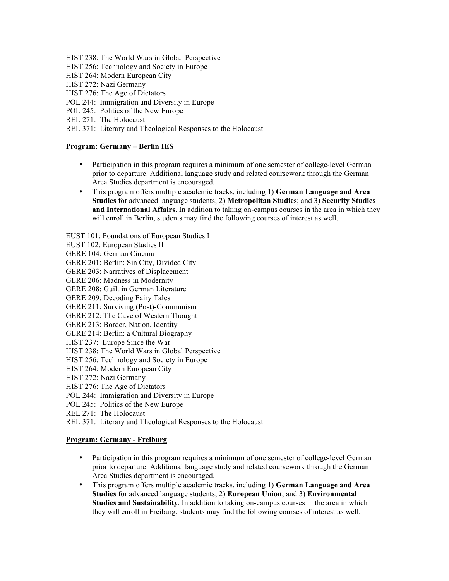- HIST 238: The World Wars in Global Perspective
- HIST 256: Technology and Society in Europe
- HIST 264: Modern European City
- HIST 272: Nazi Germany
- HIST 276: The Age of Dictators
- POL 244: Immigration and Diversity in Europe
- POL 245: Politics of the New Europe
- REL 271: The Holocaust
- REL 371: Literary and Theological Responses to the Holocaust

### **Program: Germany – Berlin IES**

- Participation in this program requires a minimum of one semester of college-level German prior to departure. Additional language study and related coursework through the German Area Studies department is encouraged.
- This program offers multiple academic tracks, including 1) **German Language and Area Studies** for advanced language students; 2) **Metropolitan Studies**; and 3) **Security Studies and International Affairs**. In addition to taking on-campus courses in the area in which they will enroll in Berlin, students may find the following courses of interest as well.

EUST 101: Foundations of European Studies I

- EUST 102: European Studies II
- GERE 104: German Cinema
- GERE 201: Berlin: Sin City, Divided City
- GERE 203: Narratives of Displacement
- GERE 206: Madness in Modernity
- GERE 208: Guilt in German Literature
- GERE 209: Decoding Fairy Tales
- GERE 211: Surviving (Post)-Communism
- GERE 212: The Cave of Western Thought
- GERE 213: Border, Nation, Identity
- GERE 214: Berlin: a Cultural Biography
- HIST 237: Europe Since the War
- HIST 238: The World Wars in Global Perspective
- HIST 256: Technology and Society in Europe
- HIST 264: Modern European City
- HIST 272: Nazi Germany
- HIST 276: The Age of Dictators
- POL 244: Immigration and Diversity in Europe
- POL 245: Politics of the New Europe
- REL 271: The Holocaust
- REL 371: Literary and Theological Responses to the Holocaust

#### **Program: Germany - Freiburg**

- Participation in this program requires a minimum of one semester of college-level German prior to departure. Additional language study and related coursework through the German Area Studies department is encouraged.
- This program offers multiple academic tracks, including 1) **German Language and Area Studies** for advanced language students; 2) **European Union**; and 3) **Environmental Studies and Sustainability**. In addition to taking on-campus courses in the area in which they will enroll in Freiburg, students may find the following courses of interest as well.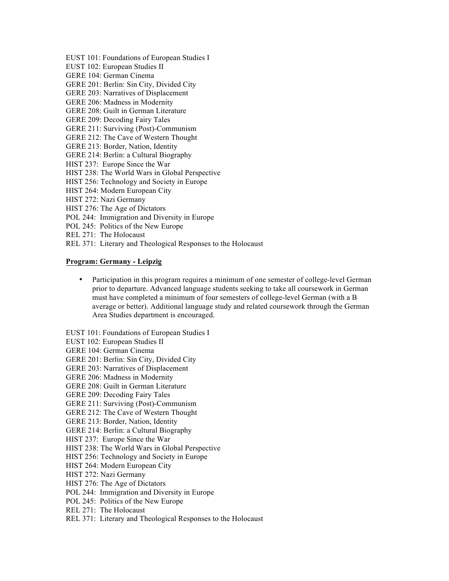- EUST 101: Foundations of European Studies I
- EUST 102: European Studies II
- GERE 104: German Cinema
- GERE 201: Berlin: Sin City, Divided City
- GERE 203: Narratives of Displacement
- GERE 206: Madness in Modernity
- GERE 208: Guilt in German Literature
- GERE 209: Decoding Fairy Tales
- GERE 211: Surviving (Post)-Communism
- GERE 212: The Cave of Western Thought
- GERE 213: Border, Nation, Identity
- GERE 214: Berlin: a Cultural Biography
- HIST 237: Europe Since the War
- HIST 238: The World Wars in Global Perspective
- HIST 256: Technology and Society in Europe
- HIST 264: Modern European City
- HIST 272: Nazi Germany
- HIST 276: The Age of Dictators
- POL 244: Immigration and Diversity in Europe
- POL 245: Politics of the New Europe
- REL 271: The Holocaust
- REL 371: Literary and Theological Responses to the Holocaust

#### **Program: Germany - Leipzig**

• Participation in this program requires a minimum of one semester of college-level German prior to departure. Advanced language students seeking to take all coursework in German must have completed a minimum of four semesters of college-level German (with a B average or better). Additional language study and related coursework through the German Area Studies department is encouraged.

EUST 101: Foundations of European Studies I

- EUST 102: European Studies II
- GERE 104: German Cinema
- GERE 201: Berlin: Sin City, Divided City
- GERE 203: Narratives of Displacement
- GERE 206: Madness in Modernity
- GERE 208: Guilt in German Literature
- GERE 209: Decoding Fairy Tales
- GERE 211: Surviving (Post)-Communism
- GERE 212: The Cave of Western Thought
- GERE 213: Border, Nation, Identity
- GERE 214: Berlin: a Cultural Biography
- HIST 237: Europe Since the War
- HIST 238: The World Wars in Global Perspective
- HIST 256: Technology and Society in Europe
- HIST 264: Modern European City
- HIST 272: Nazi Germany
- HIST 276: The Age of Dictators
- POL 244: Immigration and Diversity in Europe
- POL 245: Politics of the New Europe
- REL 271: The Holocaust
- REL 371: Literary and Theological Responses to the Holocaust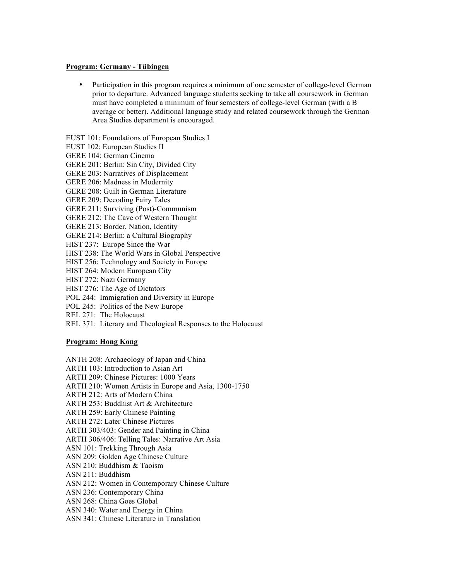#### **Program: Germany - Tübingen**

- Participation in this program requires a minimum of one semester of college-level German prior to departure. Advanced language students seeking to take all coursework in German must have completed a minimum of four semesters of college-level German (with a B average or better). Additional language study and related coursework through the German Area Studies department is encouraged.
- EUST 101: Foundations of European Studies I
- EUST 102: European Studies II
- GERE 104: German Cinema
- GERE 201: Berlin: Sin City, Divided City
- GERE 203: Narratives of Displacement
- GERE 206: Madness in Modernity
- GERE 208: Guilt in German Literature
- GERE 209: Decoding Fairy Tales
- GERE 211: Surviving (Post)-Communism
- GERE 212: The Cave of Western Thought
- GERE 213: Border, Nation, Identity
- GERE 214: Berlin: a Cultural Biography
- HIST 237: Europe Since the War
- HIST 238: The World Wars in Global Perspective
- HIST 256: Technology and Society in Europe
- HIST 264: Modern European City
- HIST 272: Nazi Germany
- HIST 276: The Age of Dictators
- POL 244: Immigration and Diversity in Europe
- POL 245: Politics of the New Europe
- REL 271: The Holocaust
- REL 371: Literary and Theological Responses to the Holocaust

### **Program: Hong Kong**

- ANTH 208: Archaeology of Japan and China
- ARTH 103: Introduction to Asian Art
- ARTH 209: Chinese Pictures: 1000 Years
- ARTH 210: Women Artists in Europe and Asia, 1300-1750
- ARTH 212: Arts of Modern China
- ARTH 253: Buddhist Art & Architecture
- ARTH 259: Early Chinese Painting
- ARTH 272: Later Chinese Pictures
- ARTH 303/403: Gender and Painting in China
- ARTH 306/406: Telling Tales: Narrative Art Asia
- ASN 101: Trekking Through Asia
- ASN 209: Golden Age Chinese Culture
- ASN 210: Buddhism & Taoism
- ASN 211: Buddhism
- ASN 212: Women in Contemporary Chinese Culture
- ASN 236: Contemporary China
- ASN 268: China Goes Global
- ASN 340: Water and Energy in China
- ASN 341: Chinese Literature in Translation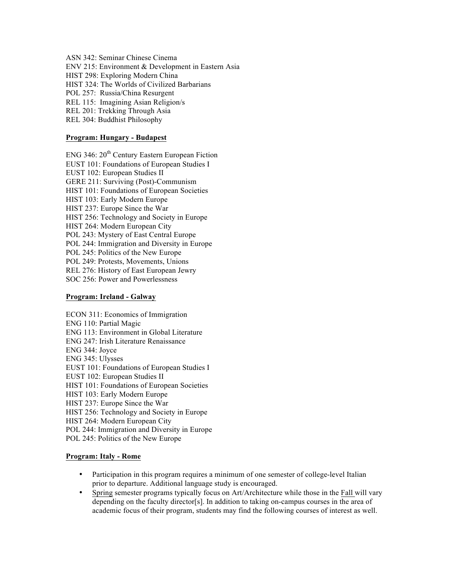ASN 342: Seminar Chinese Cinema

ENV 215: Environment & Development in Eastern Asia

HIST 298: Exploring Modern China

HIST 324: The Worlds of Civilized Barbarians

POL 257: Russia/China Resurgent

REL 115: Imagining Asian Religion/s

REL 201: Trekking Through Asia

REL 304: Buddhist Philosophy

## **Program: Hungary - Budapest**

ENG 346:  $20^{th}$  Century Eastern European Fiction EUST 101: Foundations of European Studies I EUST 102: European Studies II GERE 211: Surviving (Post)-Communism HIST 101: Foundations of European Societies HIST 103: Early Modern Europe HIST 237: Europe Since the War HIST 256: Technology and Society in Europe HIST 264: Modern European City POL 243: Mystery of East Central Europe POL 244: Immigration and Diversity in Europe POL 245: Politics of the New Europe POL 249: Protests, Movements, Unions REL 276: History of East European Jewry SOC 256: Power and Powerlessness

### **Program: Ireland - Galway**

ECON 311: Economics of Immigration ENG 110: Partial Magic ENG 113: Environment in Global Literature ENG 247: Irish Literature Renaissance ENG 344: Joyce ENG 345: Ulysses EUST 101: Foundations of European Studies I EUST 102: European Studies II HIST 101: Foundations of European Societies HIST 103: Early Modern Europe HIST 237: Europe Since the War HIST 256: Technology and Society in Europe HIST 264: Modern European City POL 244: Immigration and Diversity in Europe POL 245: Politics of the New Europe

## **Program: Italy - Rome**

- Participation in this program requires a minimum of one semester of college-level Italian prior to departure. Additional language study is encouraged.
- Spring semester programs typically focus on Art/Architecture while those in the Fall will vary depending on the faculty director[s]. In addition to taking on-campus courses in the area of academic focus of their program, students may find the following courses of interest as well.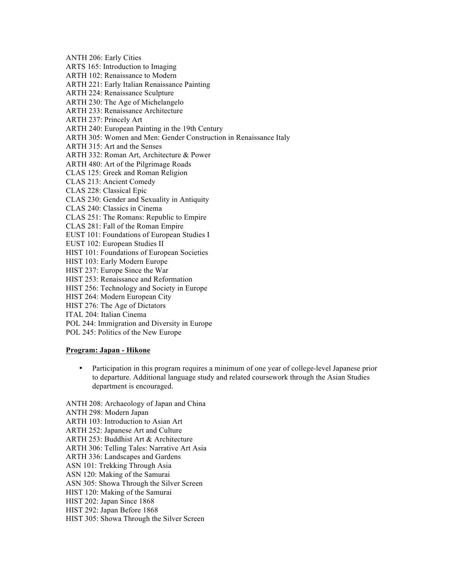ANTH 206: Early Cities ARTS 165: Introduction to Imaging ARTH 102: Renaissance to Modern

ARTH 221: Early Italian Renaissance Painting

ARTH 224: Renaissance Sculpture

ARTH 230: The Age of Michelangelo

ARTH 233: Renaissance Architecture

ARTH 237: Princely Art

ARTH 240: European Painting in the 19th Century

- ARTH 305: Women and Men: Gender Construction in Renaissance Italy
- ARTH 315: Art and the Senses

ARTH 332: Roman Art, Architecture & Power

ARTH 480: Art of the Pilgrimage Roads

CLAS 125: Greek and Roman Religion

CLAS 213: Ancient Comedy

CLAS 228: Classical Epic

CLAS 230: Gender and Sexuality in Antiquity

CLAS 240: Classics in Cinema

CLAS 251: The Romans: Republic to Empire

CLAS 281: Fall of the Roman Empire

EUST 101: Foundations of European Studies I

EUST 102: European Studies II

HIST 101: Foundations of European Societies

- HIST 103: Early Modern Europe
- HIST 237: Europe Since the War

HIST 253: Renaissance and Reformation

HIST 256: Technology and Society in Europe

HIST 264: Modern European City

HIST 276: The Age of Dictators

ITAL 204: Italian Cinema

POL 244: Immigration and Diversity in Europe

POL 245: Politics of the New Europe

## **Program: Japan - Hikone**

• Participation in this program requires a minimum of one year of college-level Japanese prior to departure. Additional language study and related coursework through the Asian Studies department is encouraged.

ANTH 208: Archaeology of Japan and China

ANTH 298: Modern Japan

ARTH 103: Introduction to Asian Art

ARTH 252: Japanese Art and Culture

ARTH 253: Buddhist Art & Architecture

ARTH 306: Telling Tales: Narrative Art Asia

ARTH 336: Landscapes and Gardens

ASN 101: Trekking Through Asia

ASN 120: Making of the Samurai

ASN 305: Showa Through the Silver Screen

HIST 120: Making of the Samurai

HIST 202: Japan Since 1868

HIST 292: Japan Before 1868

HIST 305: Showa Through the Silver Screen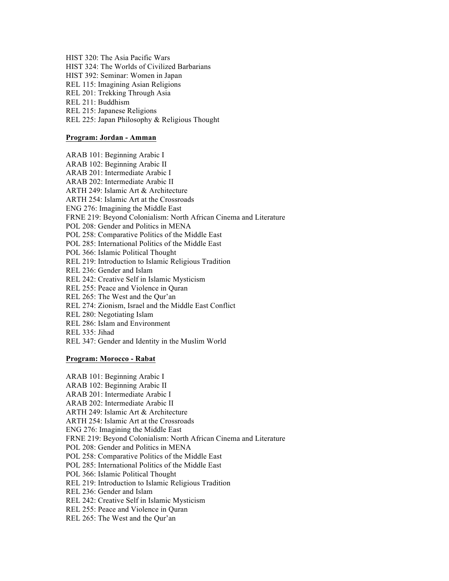HIST 320: The Asia Pacific Wars HIST 324: The Worlds of Civilized Barbarians HIST 392: Seminar: Women in Japan REL 115: Imagining Asian Religions REL 201: Trekking Through Asia REL 211: Buddhism REL 215: Japanese Religions REL 225: Japan Philosophy & Religious Thought

## **Program: Jordan - Amman**

ARAB 101: Beginning Arabic I ARAB 102: Beginning Arabic II ARAB 201: Intermediate Arabic I ARAB 202: Intermediate Arabic II ARTH 249: Islamic Art & Architecture ARTH 254: Islamic Art at the Crossroads ENG 276: Imagining the Middle East FRNE 219: Beyond Colonialism: North African Cinema and Literature POL 208: Gender and Politics in MENA POL 258: Comparative Politics of the Middle East POL 285: International Politics of the Middle East POL 366: Islamic Political Thought REL 219: Introduction to Islamic Religious Tradition REL 236: Gender and Islam REL 242: Creative Self in Islamic Mysticism REL 255: Peace and Violence in Quran REL 265: The West and the Qur'an REL 274: Zionism, Israel and the Middle East Conflict REL 280: Negotiating Islam REL 286: Islam and Environment REL 335: Jihad REL 347: Gender and Identity in the Muslim World

## **Program: Morocco - Rabat**

ARAB 101: Beginning Arabic I ARAB 102: Beginning Arabic II ARAB 201: Intermediate Arabic I ARAB 202: Intermediate Arabic II ARTH 249: Islamic Art & Architecture ARTH 254: Islamic Art at the Crossroads ENG 276: Imagining the Middle East FRNE 219: Beyond Colonialism: North African Cinema and Literature POL 208: Gender and Politics in MENA POL 258: Comparative Politics of the Middle East POL 285: International Politics of the Middle East POL 366: Islamic Political Thought REL 219: Introduction to Islamic Religious Tradition REL 236: Gender and Islam REL 242: Creative Self in Islamic Mysticism REL 255: Peace and Violence in Quran REL 265: The West and the Qur'an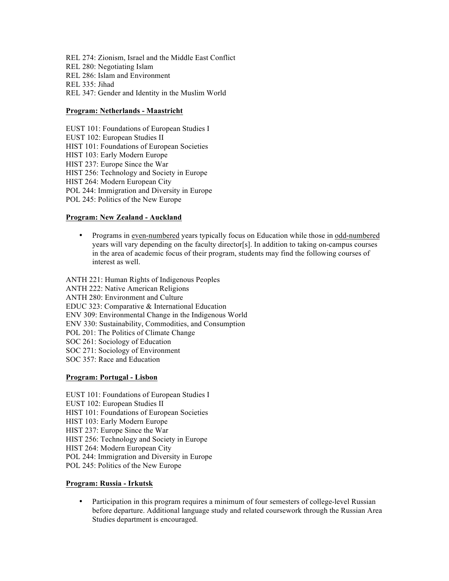REL 274: Zionism, Israel and the Middle East Conflict REL 280: Negotiating Islam REL 286: Islam and Environment REL 335: Jihad REL 347: Gender and Identity in the Muslim World

#### **Program: Netherlands - Maastricht**

EUST 101: Foundations of European Studies I

EUST 102: European Studies II

HIST 101: Foundations of European Societies

HIST 103: Early Modern Europe

HIST 237: Europe Since the War

HIST 256: Technology and Society in Europe

HIST 264: Modern European City

POL 244: Immigration and Diversity in Europe

POL 245: Politics of the New Europe

#### **Program: New Zealand - Auckland**

• Programs in even-numbered years typically focus on Education while those in odd-numbered years will vary depending on the faculty director[s]. In addition to taking on-campus courses in the area of academic focus of their program, students may find the following courses of interest as well.

ANTH 221: Human Rights of Indigenous Peoples ANTH 222: Native American Religions ANTH 280: Environment and Culture EDUC 323: Comparative & International Education ENV 309: Environmental Change in the Indigenous World ENV 330: Sustainability, Commodities, and Consumption POL 201: The Politics of Climate Change SOC 261: Sociology of Education SOC 271: Sociology of Environment SOC 357: Race and Education

#### **Program: Portugal - Lisbon**

EUST 101: Foundations of European Studies I

- EUST 102: European Studies II
- HIST 101: Foundations of European Societies

HIST 103: Early Modern Europe

HIST 237: Europe Since the War

HIST 256: Technology and Society in Europe

HIST 264: Modern European City

POL 244: Immigration and Diversity in Europe

POL 245: Politics of the New Europe

# **Program: Russia - Irkutsk**

• Participation in this program requires a minimum of four semesters of college-level Russian before departure. Additional language study and related coursework through the Russian Area Studies department is encouraged.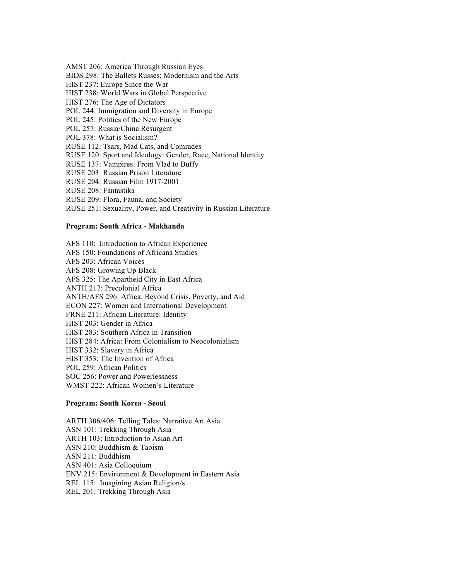AMST 206: America Through Russian Eyes BIDS 298: The Ballets Russes: Modernism and the Arts HIST 237: Europe Since the War HIST 238: World Wars in Global Perspective HIST 276: The Age of Dictators POL 244: Immigration and Diversity in Europe POL 245: Politics of the New Europe POL 257: Russia/China Resurgent POL 378: What is Socialism? RUSE 112: Tsars, Mad Cats, and Comrades RUSE 120: Sport and Ideology: Gender, Race, National Identity RUSE 137: Vampires: From Vlad to Buffy RUSE 203: Russian Prison Literature RUSE 204: Russian Film 1917-2001 RUSE 208: Fantastika RUSE 209: Flora, Fauna, and Society RUSE 251: Sexuality, Power, and Creativity in Russian Literature

### **Program: South Africa - Makhanda**

AFS 110: Introduction to African Experience AFS 150: Foundations of Africana Studies AFS 203: African Voices AFS 208: Growing Up Black AFS 325: The Apartheid City in East Africa ANTH 217: Precolonial Africa ANTH/AFS 296: Africa: Beyond Crisis, Poverty, and Aid ECON 227: Women and International Development FRNE 211: African Literature: Identity HIST 203: Gender in Africa HIST 283: Southern Africa in Transition HIST 284: Africa: From Colonialism to Neocolonialism HIST 332: Slavery in Africa HIST 353: The Invention of Africa POL 259: African Politics SOC 256: Power and Powerlessness WMST 222: African Women's Literature

### **Program: South Korea - Seoul**

ARTH 306/406: Telling Tales: Narrative Art Asia ASN 101: Trekking Through Asia ARTH 103: Introduction to Asian Art ASN 210: Buddhism & Taoism ASN 211: Buddhism ASN 401: Asia Colloquium ENV 215: Environment & Development in Eastern Asia REL 115: Imagining Asian Religion/s REL 201: Trekking Through Asia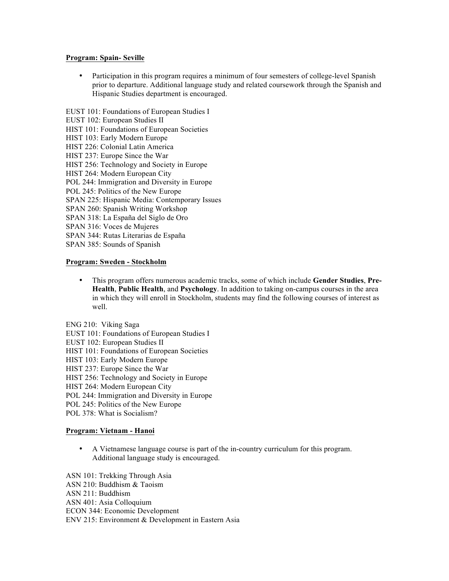## **Program: Spain- Seville**

• Participation in this program requires a minimum of four semesters of college-level Spanish prior to departure. Additional language study and related coursework through the Spanish and Hispanic Studies department is encouraged.

EUST 101: Foundations of European Studies I EUST 102: European Studies II HIST 101: Foundations of European Societies HIST 103: Early Modern Europe HIST 226: Colonial Latin America HIST 237: Europe Since the War HIST 256: Technology and Society in Europe HIST 264: Modern European City POL 244: Immigration and Diversity in Europe POL 245: Politics of the New Europe SPAN 225: Hispanic Media: Contemporary Issues SPAN 260: Spanish Writing Workshop SPAN 318: La España del Siglo de Oro SPAN 316: Voces de Mujeres SPAN 344: Rutas Literarias de España SPAN 385: Sounds of Spanish **Program: Sweden - Stockholm**

• This program offers numerous academic tracks, some of which include **Gender Studies**, **Pre-Health**, **Public Health**, and **Psychology**. In addition to taking on-campus courses in the area in which they will enroll in Stockholm, students may find the following courses of interest as well.

ENG 210: Viking Saga EUST 101: Foundations of European Studies I

- EUST 102: European Studies II
- HIST 101: Foundations of European Societies
- HIST 103: Early Modern Europe
- HIST 237: Europe Since the War
- HIST 256: Technology and Society in Europe
- HIST 264: Modern European City
- POL 244: Immigration and Diversity in Europe
- POL 245: Politics of the New Europe
- POL 378: What is Socialism?

### **Program: Vietnam - Hanoi**

• A Vietnamese language course is part of the in-country curriculum for this program. Additional language study is encouraged.

ASN 101: Trekking Through Asia ASN 210: Buddhism & Taoism

ASN 211: Buddhism

ASN 401: Asia Colloquium

ECON 344: Economic Development

ENV 215: Environment & Development in Eastern Asia